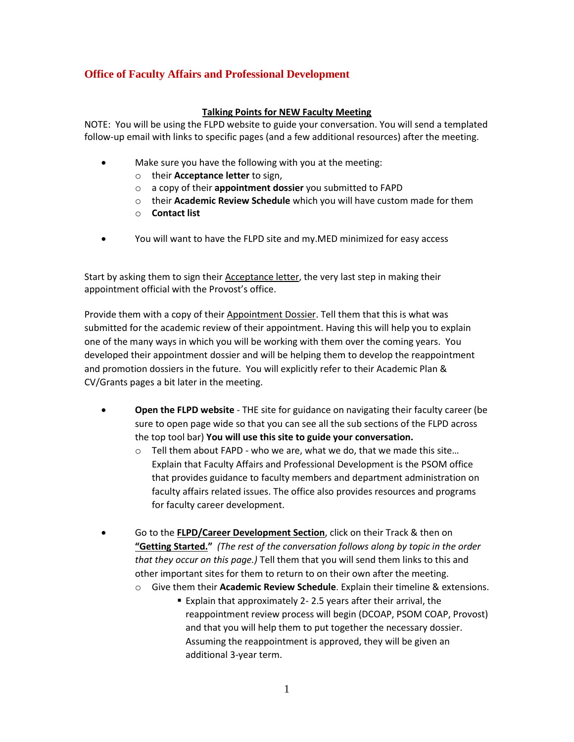## **Office of Faculty Affairs and Professional Development**

## **Talking Points for NEW Faculty Meeting**

NOTE: You will be using the FLPD website to guide your conversation. You will send a templated follow-up email with links to specific pages (and a few additional resources) after the meeting.

- Make sure you have the following with you at the meeting:
	- o their **Acceptance letter** to sign,
	- o a copy of their **appointment dossier** you submitted to FAPD
	- o their **Academic Review Schedule** which you will have custom made for them
	- o **Contact list**
- You will want to have the FLPD site and my.MED minimized for easy access

Start by asking them to sign their Acceptance letter, the very last step in making their appointment official with the Provost's office.

Provide them with a copy of their Appointment Dossier. Tell them that this is what was submitted for the academic review of their appointment. Having this will help you to explain one of the many ways in which you will be working with them over the coming years. You developed their appointment dossier and will be helping them to develop the reappointment and promotion dossiers in the future. You will explicitly refer to their Academic Plan & CV/Grants pages a bit later in the meeting.

- **Open the FLPD website** THE site for guidance on navigating their faculty career (be sure to open page wide so that you can see all the sub sections of the FLPD across the top tool bar) **You will use this site to guide your conversation.** 
	- o Tell them about FAPD who we are, what we do, that we made this site… Explain that Faculty Affairs and Professional Development is the PSOM office that provides guidance to faculty members and department administration on faculty affairs related issues. The office also provides resources and programs for faculty career development.
- Go to the **FLPD/Career Development Section**, click on their Track & then on **"Getting Started."** *(The rest of the conversation follows along by topic in the order that they occur on this page.)* Tell them that you will send them links to this and other important sites for them to return to on their own after the meeting.
	- o Give them their **Academic Review Schedule**. Explain their timeline & extensions.
		- Explain that approximately 2- 2.5 years after their arrival, the reappointment review process will begin (DCOAP, PSOM COAP, Provost) and that you will help them to put together the necessary dossier. Assuming the reappointment is approved, they will be given an additional 3-year term.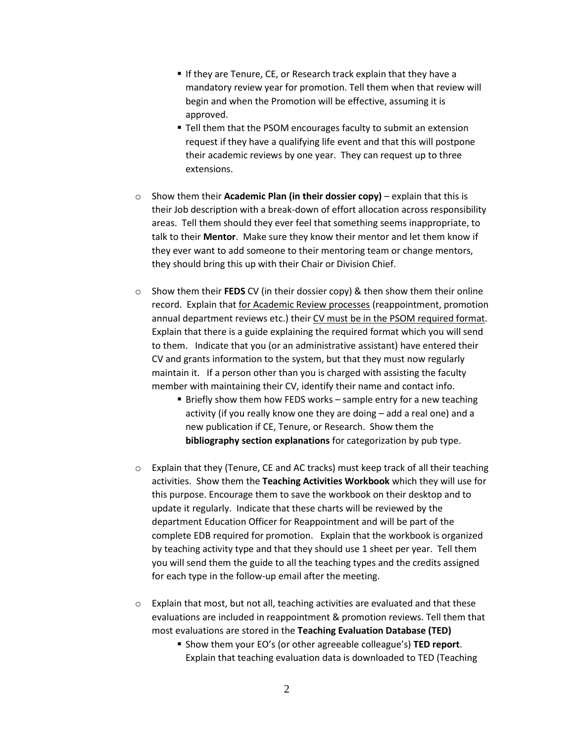- **If they are Tenure, CE, or Research track explain that they have a** mandatory review year for promotion. Tell them when that review will begin and when the Promotion will be effective, assuming it is approved.
- **Tell them that the PSOM encourages faculty to submit an extension** request if they have a qualifying life event and that this will postpone their academic reviews by one year. They can request up to three extensions.
- o Show them their **Academic Plan (in their dossier copy)** explain that this is their Job description with a break-down of effort allocation across responsibility areas. Tell them should they ever feel that something seems inappropriate, to talk to their **Mentor**. Make sure they know their mentor and let them know if they ever want to add someone to their mentoring team or change mentors, they should bring this up with their Chair or Division Chief.
- o Show them their **FEDS** CV (in their dossier copy) & then show them their online record. Explain that for Academic Review processes (reappointment, promotion annual department reviews etc.) their CV must be in the PSOM required format. Explain that there is a guide explaining the required format which you will send to them. Indicate that you (or an administrative assistant) have entered their CV and grants information to the system, but that they must now regularly maintain it. If a person other than you is charged with assisting the faculty member with maintaining their CV, identify their name and contact info.
	- **Briefly show them how FEDS works sample entry for a new teaching** activity (if you really know one they are doing – add a real one) and a new publication if CE, Tenure, or Research. Show them the **bibliography section explanations** for categorization by pub type.
- $\circ$  Explain that they (Tenure, CE and AC tracks) must keep track of all their teaching activities. Show them the **Teaching Activities Workbook** which they will use for this purpose. Encourage them to save the workbook on their desktop and to update it regularly. Indicate that these charts will be reviewed by the department Education Officer for Reappointment and will be part of the complete EDB required for promotion. Explain that the workbook is organized by teaching activity type and that they should use 1 sheet per year. Tell them you will send them the guide to all the teaching types and the credits assigned for each type in the follow-up email after the meeting.
- $\circ$  Explain that most, but not all, teaching activities are evaluated and that these evaluations are included in reappointment & promotion reviews. Tell them that most evaluations are stored in the **Teaching Evaluation Database (TED)**
	- Show them your EO's (or other agreeable colleague's) **TED report**. Explain that teaching evaluation data is downloaded to TED (Teaching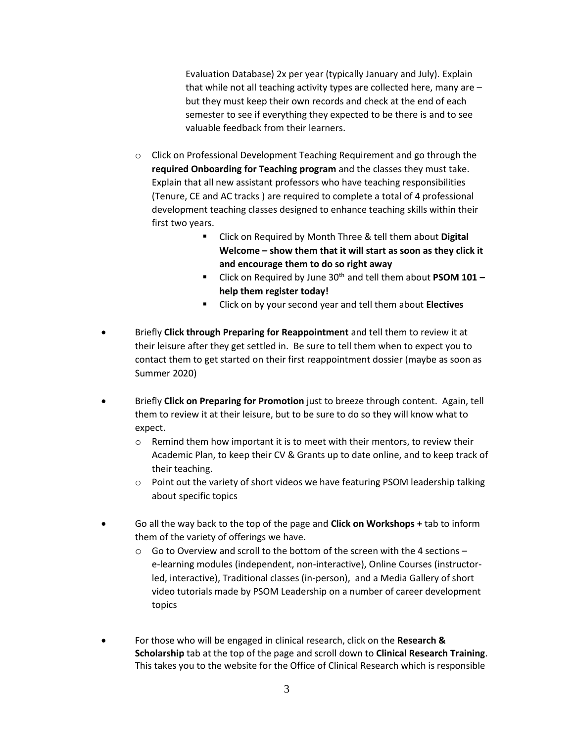Evaluation Database) 2x per year (typically January and July). Explain that while not all teaching activity types are collected here, many are – but they must keep their own records and check at the end of each semester to see if everything they expected to be there is and to see valuable feedback from their learners.

- $\circ$  Click on Professional Development Teaching Requirement and go through the **required Onboarding for Teaching program** and the classes they must take. Explain that all new assistant professors who have teaching responsibilities (Tenure, CE and AC tracks ) are required to complete a total of 4 professional development teaching classes designed to enhance teaching skills within their first two years.
	- Click on Required by Month Three & tell them about **Digital Welcome – show them that it will start as soon as they click it and encourage them to do so right away**
	- Click on Required by June 30<sup>th</sup> and tell them about **PSOM 101** − **help them register today!**
	- Click on by your second year and tell them about **Electives**
- Briefly **Click through Preparing for Reappointment** and tell them to review it at their leisure after they get settled in. Be sure to tell them when to expect you to contact them to get started on their first reappointment dossier (maybe as soon as Summer 2020)
- Briefly **Click on Preparing for Promotion** just to breeze through content. Again, tell them to review it at their leisure, but to be sure to do so they will know what to expect.
	- $\circ$  Remind them how important it is to meet with their mentors, to review their Academic Plan, to keep their CV & Grants up to date online, and to keep track of their teaching.
	- $\circ$  Point out the variety of short videos we have featuring PSOM leadership talking about specific topics
- Go all the way back to the top of the page and **Click on Workshops +** tab to inform them of the variety of offerings we have.
	- $\circ$  Go to Overview and scroll to the bottom of the screen with the 4 sections e-learning modules (independent, non-interactive), Online Courses (instructorled, interactive), Traditional classes (in-person), and a Media Gallery of short video tutorials made by PSOM Leadership on a number of career development topics
- For those who will be engaged in clinical research, click on the **Research & Scholarship** tab at the top of the page and scroll down to **Clinical Research Training**. This takes you to the website for the Office of Clinical Research which is responsible